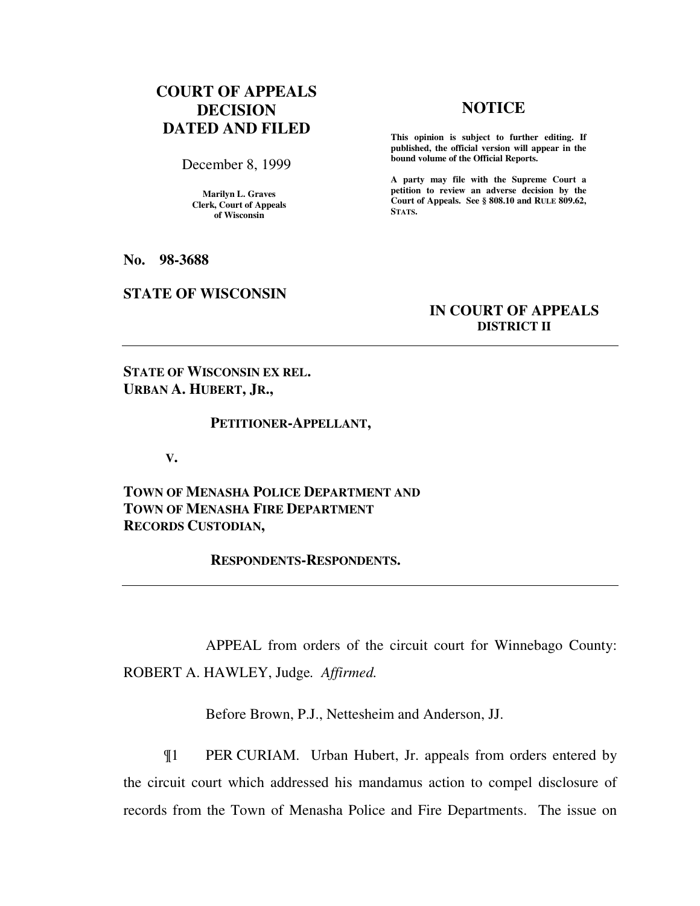# **COURT OF APPEALS DECISION DATED AND FILED**

December 8, 1999

**Marilyn L. Graves Clerk, Court of Appeals of Wisconsin** 

**No. 98-3688** 

### **STATE OF WISCONSIN**

## **NOTICE**

**This opinion is subject to further editing. If published, the official version will appear in the bound volume of the Official Reports.**

**A party may file with the Supreme Court a petition to review an adverse decision by the Court of Appeals. See § 808.10 and RULE 809.62, STATS.** 

## **IN COURT OF APPEALS DISTRICT II**

**STATE OF WISCONSIN EX REL. URBAN A. HUBERT, JR.,** 

#### **PETITIONER-APPELLANT,**

 **V.** 

**TOWN OF MENASHA POLICE DEPARTMENT AND TOWN OF MENASHA FIRE DEPARTMENT RECORDS CUSTODIAN,** 

 **RESPONDENTS-RESPONDENTS.** 

APPEAL from orders of the circuit court for Winnebago County: ROBERT A. HAWLEY, Judge*. Affirmed.*

Before Brown, P.J., Nettesheim and Anderson, JJ.

¶1 PER CURIAM. Urban Hubert, Jr. appeals from orders entered by the circuit court which addressed his mandamus action to compel disclosure of records from the Town of Menasha Police and Fire Departments. The issue on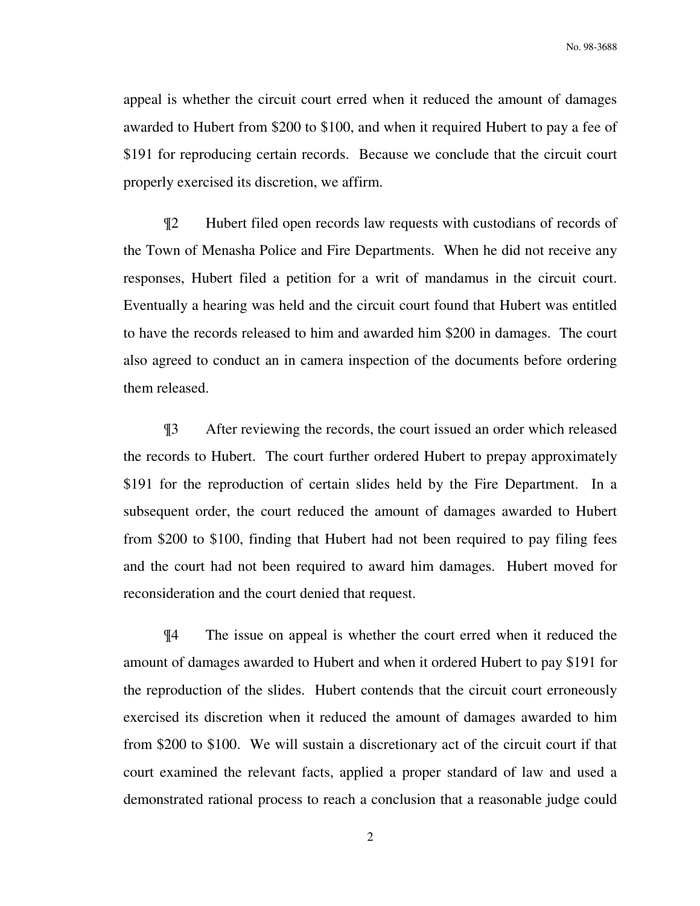appeal is whether the circuit court erred when it reduced the amount of damages awarded to Hubert from \$200 to \$100, and when it required Hubert to pay a fee of \$191 for reproducing certain records. Because we conclude that the circuit court properly exercised its discretion, we affirm.

¶2 Hubert filed open records law requests with custodians of records of the Town of Menasha Police and Fire Departments. When he did not receive any responses, Hubert filed a petition for a writ of mandamus in the circuit court. Eventually a hearing was held and the circuit court found that Hubert was entitled to have the records released to him and awarded him \$200 in damages. The court also agreed to conduct an in camera inspection of the documents before ordering them released.

¶3 After reviewing the records, the court issued an order which released the records to Hubert. The court further ordered Hubert to prepay approximately \$191 for the reproduction of certain slides held by the Fire Department. In a subsequent order, the court reduced the amount of damages awarded to Hubert from \$200 to \$100, finding that Hubert had not been required to pay filing fees and the court had not been required to award him damages. Hubert moved for reconsideration and the court denied that request.

¶4 The issue on appeal is whether the court erred when it reduced the amount of damages awarded to Hubert and when it ordered Hubert to pay \$191 for the reproduction of the slides. Hubert contends that the circuit court erroneously exercised its discretion when it reduced the amount of damages awarded to him from \$200 to \$100. We will sustain a discretionary act of the circuit court if that court examined the relevant facts, applied a proper standard of law and used a demonstrated rational process to reach a conclusion that a reasonable judge could